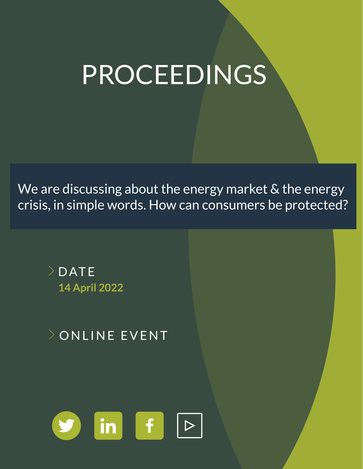# PROCEEDINGS

We are discussing about the energy market & the energy crisis, in simple words. How can consumers be protected?



**ONLINE EVENT** 

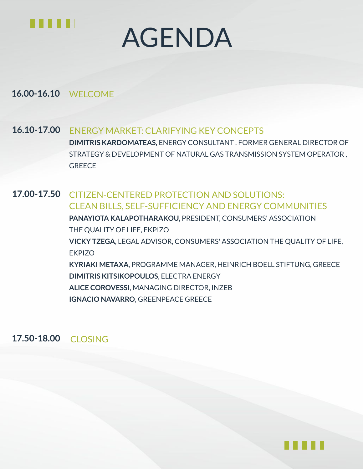

# AGENDA

**16.00-16.10** WELCOME

ENERGY MARKET: CLARIFYING KEY CONCEPTS **DIMITRIS KARDOMATEAS,** ENERGY CONSULTANT . FORMER GENERAL DIRECTOR OF STRATEGY & DEVELOPMENT OF NATURAL GAS TRANSMISSION SYSTEM OPERATOR , **GREECE 16.10-17.00**

CITIZEN-CENTERED PROTECTION AND SOLUTIONS: CLEAN BILLS, SELF-SUFFICIENCY AND ENERGY COMMUNITIES **PANAYIOTA KALAPOTHARAKOU,** PRESIDENT, CONSUMERS' ASSOCIATION THE QUALITY OF LIFE, EKPIZO **VICKY TZEGA**, LEGAL ADVISOR, CONSUMERS' ASSOCIATION THE QUALITY OF LIFE, **EKPIZO KYRIAKI METAXA**, PROGRAMME MANAGER, HEINRICH BOELL STIFTUNG, GREECE **DIMITRIS KITSIKOPOULOS**, ELECTRA ENERGY **ALICE COROVESSI**, MANAGING DIRECTOR, INZEB **IGNACIO NAVARRO**, GREENPEACE GREECE **17.00-17.50**

**17.50-18.00** CLOSING

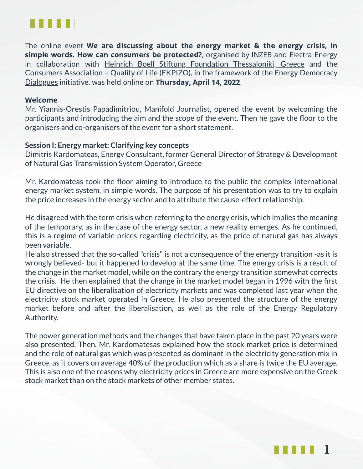

The online event We are discussing about the energy market & the energy crisis, in simple words. How can consumers be protected?, organised by [INZEB](https://inzeb.org/) and Electra [Energy](http://electraenergy.coop/) in collaboration with Heinrich Boell Stiftung Foundation [Thessaloniki,](https://gr.boell.org/en) Greece and the Consumers [Association](https://www.ekpizo.gr/en) – Quality of Life (EKPIZO), in the framework of the Energy Democracy Dialogues initiative. was held online on Thursday, April 14, 2022.

#### Welcome

Mr. Yiannis-Orestis Papadimitriou, Manifold Journalist, opened the event by welcoming the participants and introducing the aim and the scope of the event. Then he gave the floor to the organisers and co-organisers of the event for a short statement.

### **Session I: Energy market: Clarifying key concepts**

Dimitris Kardomateas, Energy Consultant, former General Director of Strategy & Development of Natural Gas Transmission System Operator, Greece

Mr. Kardomateas took the floor aiming to introduce to the public the complex international energy market system, in simple words. The purpose of his presentation was to try to explain the price increases in the energy sector and to attribute the cause-effect relationship.

He disagreed with the term crisis when referring to the energy crisis, which implies the meaning of the temporary, as in the case of the energy sector, a new reality emerges. As he continued, this is a regime of variable prices regarding electricity, as the price of natural gas has always been variable.

He also stressed that the so-called "crisis" is not a consequence of the energy transition -as it is wrongly believed- but it happened to develop at the same time. The energy crisis is a result of the change in the market model, while on the contrary the energy transition somewhat corrects the crisis. He then explained that the change in the market model began in 1996 with the first EU directive on the liberalisation of electricity markets and was completed last year when the electricity stock market operated in Greece. He also presented the structure of the energy market before and after the liberalisation, as well as the role of the Energy Regulatory Authority.

The power generation methods and the changes that have taken place in the past 20 years were also presented. Then, Mr. Kardomatesas explained how the stock market price is determined and the role of natural gas which was presented as dominant in the electricity generation mix in Greece, as it covers on average 40% of the production which as a share is twice the EU average. This is also one of the reasons why electricity prices in Greece are more expensive on the Greek stock market than on the stock markets of other member states.

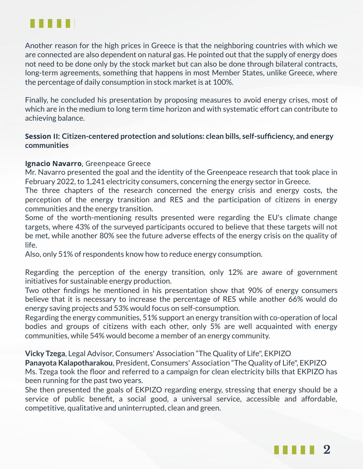

Another reason for the high prices in Greece is that the neighboring countries with which we are connected are also dependent on natural gas. He pointed out that the supply of energy does not need to be done only by the stock market but can also be done through bilateral contracts, long-term agreements, something that happens in most Member States, unlike Greece, where the percentage of daily consumption in stock market is at 100%.

Finally, he concluded his presentation by proposing measures to avoid energy crises, most of which are in the medium to long term time horizon and with systematic effort can contribute to achieving balance.

## Session II: **Citizen-centered protection and solutions: clean bills, self-sufficiency, and energy communities**

## Ignacio Navarro, Greenpeace Greece

Mr. Navarro presented the goal and the identity of the Greenpeace research that took place in February 2022, to 1,241 electricity consumers, concerning the energy sector in Greece.

The three chapters of the research concerned the energy crisis and energy costs, the perception of the energy transition and RES and the participation of citizens in energy communities and the energy transition.

Some of the worth-mentioning results presented were regarding the EU's climate change targets, where 43% of the surveyed participants occured to believe that these targets will not be met, while another 80% see the future adverse effects of the energy crisis on the quality of life.

Also, only 51% of respondents know how to reduce energy consumption.

Regarding the perception of the energy transition, only 12% are aware of government initiatives for sustainable energy production.

Two other findings he mentioned in his presentation show that 90% of energy consumers believe that it is necessary to increase the percentage of RES while another 66% would do energy saving projects and 53% would focus on self-consumption.

Regarding the energy communities, 51% support an energy transition with co-operation of local bodies and groups of citizens with each other, only 5% are well acquainted with energy communities, while 54% would become a member of an energy community.

**Vicky Tzega**, Legal Advisor, Consumers' Association "The Quality of Life", EKPIZO

**Panayota Kalapotharakou**, President, Consumers' Association "The Quality of Life", EKPIZO Ms. Tzega took the floor and referred to a campaign for clean electricity bills that EKPIZO has been running for the past two years.

She then presented the goals of EKPIZO regarding energy, stressing that energy should be a service of public benefit, a social good, a universal service, accessible and affordable, competitive, qualitative and uninterrupted, clean and green.

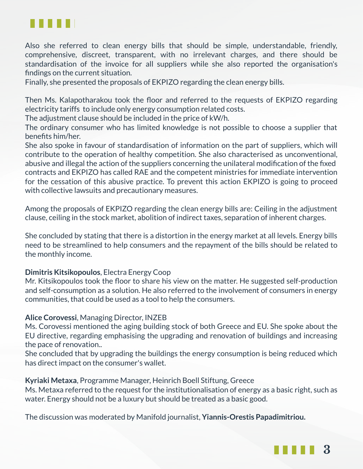

Also she referred to clean energy bills that should be simple, understandable, friendly, comprehensive, discreet, transparent, with no irrelevant charges, and there should be standardisation of the invoice for all suppliers while she also reported the organisation's findings on the current situation.

Finally, she presented the proposals of EKPIZO regarding the clean energy bills.

Then Ms. Kalapotharakou took the floor and referred to the requests of EKPIZO regarding electricity tariffs to include only energy consumption related costs.

The adjustment clause should be included in the price of kW/h.

The ordinary consumer who has limited knowledge is not possible to choose a supplier that benefits him/her.

She also spoke in favour of standardisation of information on the part of suppliers, which will contribute to the operation of healthy competition. She also characterised as unconventional, abusive and illegal the action of the suppliers concerning the unilateral modification of the fixed contracts and EKPIZO has called RAE and the competent ministries for immediate intervention for the cessation of this abusive practice. To prevent this action EKPIZO is going to proceed with collective lawsuits and precautionary measures.

Among the proposals of EKPIZO regarding the clean energy bills are: Ceiling in the adjustment clause, ceiling in the stock market, abolition of indirect taxes, separation of inherent charges.

She concluded by stating that there is a distortion in the energy market at all levels. Energy bills need to be streamlined to help consumers and the repayment of the bills should be related to the monthly income.

### **Dimitris Kitsikopoulos**, Electra Energy Coop

Mr. Kitsikopoulos took the floor to share his view on the matter. He suggested self-production and self-consumption as a solution. He also referred to the involvement of consumers in energy communities, that could be used as a tool to help the consumers.

## **Alice Corovessi**, Managing Director, INZEB

Ms. Corovessi mentioned the aging building stock of both Greece and EU. She spoke about the EU directive, regarding emphasising the upgrading and renovation of buildings and increasing the pace of renovation..

She concluded that by upgrading the buildings the energy consumption is being reduced which has direct impact on the consumer's wallet.

### **Kyriaki Metaxa**, Programme Manager, Heinrich Boell Stiftung, Greece

Ms. Metaxa referred to the request for the institutionalisation of energy as a basic right, such as water. Energy should not be a luxury but should be treated as a basic good.

The discussion was moderated by Manifold journalist, **Yiannis-Orestis Papadimitriou.**